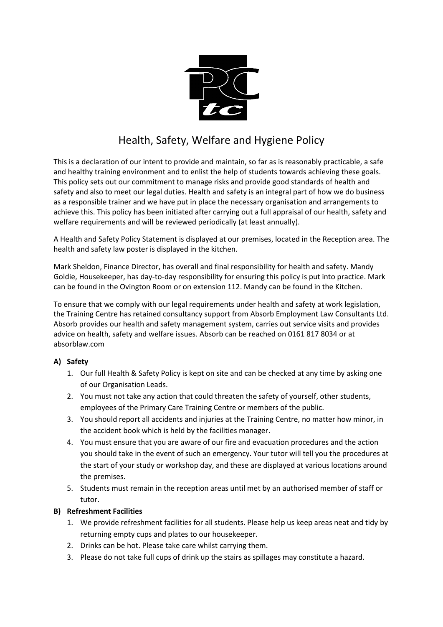

# Health, Safety, Welfare and Hygiene Policy

This is a declaration of our intent to provide and maintain, so far as is reasonably practicable, a safe and healthy training environment and to enlist the help of students towards achieving these goals. This policy sets out our commitment to manage risks and provide good standards of health and safety and also to meet our legal duties. Health and safety is an integral part of how we do business as a responsible trainer and we have put in place the necessary organisation and arrangements to achieve this. This policy has been initiated after carrying out a full appraisal of our health, safety and welfare requirements and will be reviewed periodically (at least annually).

A Health and Safety Policy Statement is displayed at our premises, located in the Reception area. The health and safety law poster is displayed in the kitchen.

Mark Sheldon, Finance Director, has overall and final responsibility for health and safety. Mandy Goldie, Housekeeper, has day-to-day responsibility for ensuring this policy is put into practice. Mark can be found in the Ovington Room or on extension 112. Mandy can be found in the Kitchen.

To ensure that we comply with our legal requirements under health and safety at work legislation, the Training Centre has retained consultancy support from Absorb Employment Law Consultants Ltd. Absorb provides our health and safety management system, carries out service visits and provides advice on health, safety and welfare issues. Absorb can be reached on 0161 817 8034 or at absorblaw.com

#### **A) Safety**

- 1. Our full Health & Safety Policy is kept on site and can be checked at any time by asking one of our Organisation Leads.
- 2. You must not take any action that could threaten the safety of yourself, other students, employees of the Primary Care Training Centre or members of the public.
- 3. You should report all accidents and injuries at the Training Centre, no matter how minor, in the accident book which is held by the facilities manager.
- 4. You must ensure that you are aware of our fire and evacuation procedures and the action you should take in the event of such an emergency. Your tutor will tell you the procedures at the start of your study or workshop day, and these are displayed at various locations around the premises.
- 5. Students must remain in the reception areas until met by an authorised member of staff or tutor.

#### **B) Refreshment Facilities**

- 1. We provide refreshment facilities for all students. Please help us keep areas neat and tidy by returning empty cups and plates to our housekeeper.
- 2. Drinks can be hot. Please take care whilst carrying them.
- 3. Please do not take full cups of drink up the stairs as spillages may constitute a hazard.